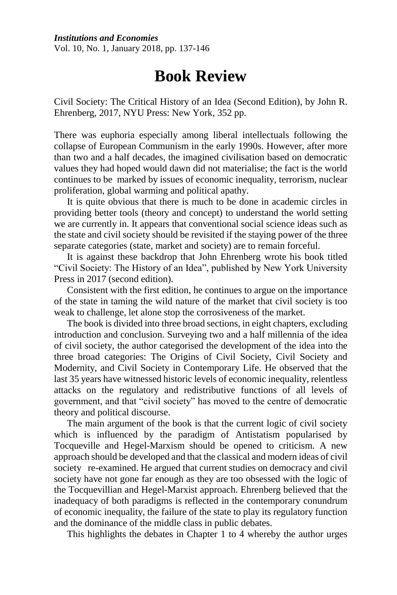*Institutions and Economies* Vol. 10, No. 1, January 2018, pp. 137-146

## **Book Review**

Civil Society: The Critical History of an Idea (Second Edition), by John R. Ehrenberg, 2017, NYU Press: New York, 352 pp.

There was euphoria especially among liberal intellectuals following the collapse of European Communism in the early 1990s. However, after more than two and a half decades, the imagined civilisation based on democratic values they had hoped would dawn did not materialise; the fact is the world continues to be marked by issues of economic inequality, terrorism, nuclear proliferation, global warming and political apathy.

It is quite obvious that there is much to be done in academic circles in providing better tools (theory and concept) to understand the world setting we are currently in. It appears that conventional social science ideas such as the state and civil society should be revisited if the staying power of the three separate categories (state, market and society) are to remain forceful.

It is against these backdrop that John Ehrenberg wrote his book titled "Civil Society: The History of an Idea", published by New York University Press in 2017 (second edition).

Consistent with the first edition, he continues to argue on the importance of the state in taming the wild nature of the market that civil society is too weak to challenge, let alone stop the corrosiveness of the market.

The book is divided into three broad sections, in eight chapters, excluding introduction and conclusion. Surveying two and a half millennia of the idea of civil society, the author categorised the development of the idea into the three broad categories: The Origins of Civil Society, Civil Society and Modernity, and Civil Society in Contemporary Life. He observed that the last 35 years have witnessed historic levels of economic inequality, relentless attacks on the regulatory and redistributive functions of all levels of government, and that "civil society" has moved to the centre of democratic theory and political discourse.

The main argument of the book is that the current logic of civil society which is influenced by the paradigm of Antistatism popularised by Tocqueville and Hegel-Marxism should be opened to criticism. A new approach should be developed and that the classical and modern ideas of civil society re-examined. He argued that current studies on democracy and civil society have not gone far enough as they are too obsessed with the logic of the Tocquevillian and Hegel-Marxist approach. Ehrenberg believed that the inadequacy of both paradigms is reflected in the contemporary conundrum of economic inequality, the failure of the state to play its regulatory function and the dominance of the middle class in public debates.

This highlights the debates in Chapter 1 to 4 whereby the author urges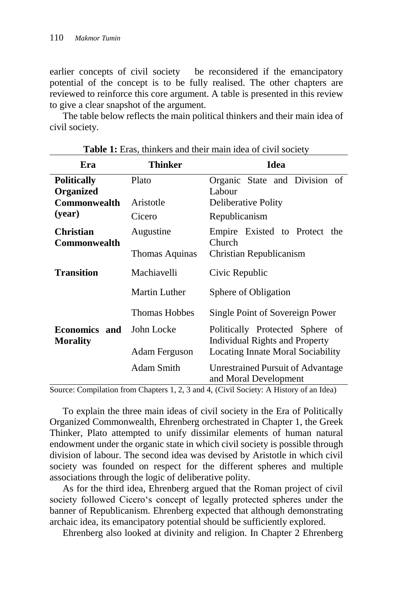earlier concepts of civil society be reconsidered if the emancipatory potential of the concept is to be fully realised. The other chapters are reviewed to reinforce this core argument. A table is presented in this review to give a clear snapshot of the argument.

The table below reflects the main political thinkers and their main idea of civil society.

| Era                                     | <b>Thinker</b>                                       | <b>Idea</b>                                                              |  |  |  |  |
|-----------------------------------------|------------------------------------------------------|--------------------------------------------------------------------------|--|--|--|--|
| <b>Politically</b><br>Organized         | Plato                                                | Organic State and Division of<br>Labour                                  |  |  |  |  |
| Commonwealth                            | Aristotle                                            | <b>Deliberative Polity</b>                                               |  |  |  |  |
| (year)                                  | Cicero                                               | Republicanism                                                            |  |  |  |  |
| <b>Christian</b><br>Commonwealth        | Empire Existed to Protect the<br>Augustine<br>Church |                                                                          |  |  |  |  |
|                                         | Thomas Aquinas                                       | Christian Republicanism                                                  |  |  |  |  |
| <b>Transition</b>                       | Machiavelli                                          | Civic Republic                                                           |  |  |  |  |
|                                         | Martin Luther                                        | Sphere of Obligation                                                     |  |  |  |  |
|                                         | <b>Thomas Hobbes</b>                                 | Single Point of Sovereign Power                                          |  |  |  |  |
| <b>Economics and</b><br><b>Morality</b> | John Locke                                           | Politically Protected Sphere of<br><b>Individual Rights and Property</b> |  |  |  |  |
|                                         | Adam Ferguson                                        | Locating Innate Moral Sociability                                        |  |  |  |  |
|                                         | Adam Smith                                           | Unrestrained Pursuit of Advantage<br>and Moral Development               |  |  |  |  |

| Table 1: Eras, thinkers and their main idea of civil society |  |  |  |  |  |  |
|--------------------------------------------------------------|--|--|--|--|--|--|
|--------------------------------------------------------------|--|--|--|--|--|--|

Source: Compilation from Chapters 1, 2, 3 and 4, (Civil Society: A History of an Idea)

To explain the three main ideas of civil society in the Era of Politically Organized Commonwealth, Ehrenberg orchestrated in Chapter 1, the Greek Thinker, Plato attempted to unify dissimilar elements of human natural endowment under the organic state in which civil society is possible through division of labour. The second idea was devised by Aristotle in which civil society was founded on respect for the different spheres and multiple associations through the logic of deliberative polity.

As for the third idea, Ehrenberg argued that the Roman project of civil society followed Cicero's concept of legally protected spheres under the banner of Republicanism. Ehrenberg expected that although demonstrating archaic idea, its emancipatory potential should be sufficiently explored.

Ehrenberg also looked at divinity and religion. In Chapter 2 Ehrenberg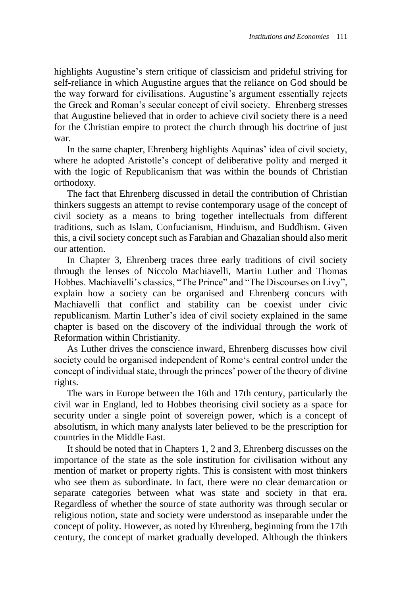highlights Augustine's stern critique of classicism and prideful striving for self-reliance in which Augustine argues that the reliance on God should be the way forward for civilisations. Augustine's argument essentially rejects the Greek and Roman's secular concept of civil society. Ehrenberg stresses that Augustine believed that in order to achieve civil society there is a need for the Christian empire to protect the church through his doctrine of just war.

In the same chapter, Ehrenberg highlights Aquinas' idea of civil society, where he adopted Aristotle's concept of deliberative polity and merged it with the logic of Republicanism that was within the bounds of Christian orthodoxy.

The fact that Ehrenberg discussed in detail the contribution of Christian thinkers suggests an attempt to revise contemporary usage of the concept of civil society as a means to bring together intellectuals from different traditions, such as Islam, Confucianism, Hinduism, and Buddhism. Given this, a civil society concept such as Farabian and Ghazalian should also merit our attention.

In Chapter 3, Ehrenberg traces three early traditions of civil society through the lenses of Niccolo Machiavelli, Martin Luther and Thomas Hobbes. Machiavelli's classics, "The Prince" and "The Discourses on Livy", explain how a society can be organised and Ehrenberg concurs with Machiavelli that conflict and stability can be coexist under civic republicanism. Martin Luther's idea of civil society explained in the same chapter is based on the discovery of the individual through the work of Reformation within Christianity.

As Luther drives the conscience inward, Ehrenberg discusses how civil society could be organised independent of Rome's central control under the concept of individual state, through the princes' power of the theory of divine rights.

The wars in Europe between the 16th and 17th century, particularly the civil war in England, led to Hobbes theorising civil society as a space for security under a single point of sovereign power, which is a concept of absolutism, in which many analysts later believed to be the prescription for countries in the Middle East.

It should be noted that in Chapters 1, 2 and 3, Ehrenberg discusses on the importance of the state as the sole institution for civilisation without any mention of market or property rights. This is consistent with most thinkers who see them as subordinate. In fact, there were no clear demarcation or separate categories between what was state and society in that era. Regardless of whether the source of state authority was through secular or religious notion, state and society were understood as inseparable under the concept of polity. However, as noted by Ehrenberg, beginning from the 17th century, the concept of market gradually developed. Although the thinkers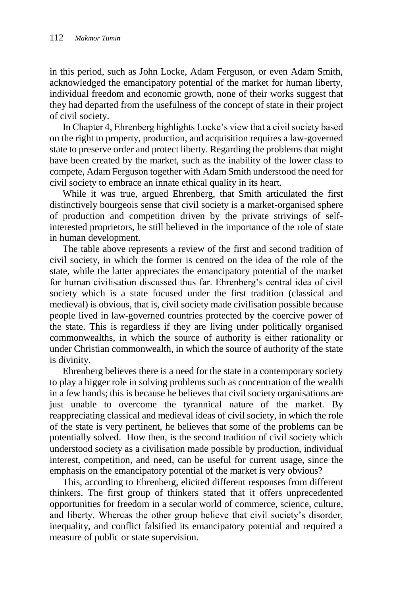in this period, such as John Locke, Adam Ferguson, or even Adam Smith, acknowledged the emancipatory potential of the market for human liberty, individual freedom and economic growth, none of their works suggest that they had departed from the usefulness of the concept of state in their project of civil society.

In Chapter 4, Ehrenberg highlights Locke's view that a civil society based on the right to property, production, and acquisition requires a law-governed state to preserve order and protect liberty. Regarding the problems that might have been created by the market, such as the inability of the lower class to compete, Adam Ferguson together with Adam Smith understood the need for civil society to embrace an innate ethical quality in its heart.

While it was true, argued Ehrenberg, that Smith articulated the first distinctively bourgeois sense that civil society is a market-organised sphere of production and competition driven by the private strivings of selfinterested proprietors, he still believed in the importance of the role of state in human development.

The table above represents a review of the first and second tradition of civil society, in which the former is centred on the idea of the role of the state, while the latter appreciates the emancipatory potential of the market for human civilisation discussed thus far. Ehrenberg's central idea of civil society which is a state focused under the first tradition (classical and medieval) is obvious, that is, civil society made civilisation possible because people lived in law-governed countries protected by the coercive power of the state. This is regardless if they are living under politically organised commonwealths, in which the source of authority is either rationality or under Christian commonwealth, in which the source of authority of the state is divinity.

Ehrenberg believes there is a need for the state in a contemporary society to play a bigger role in solving problems such as concentration of the wealth in a few hands; this is because he believes that civil society organisations are just unable to overcome the tyrannical nature of the market. By reappreciating classical and medieval ideas of civil society, in which the role of the state is very pertinent, he believes that some of the problems can be potentially solved. How then, is the second tradition of civil society which understood society as a civilisation made possible by production, individual interest, competition, and need, can be useful for current usage, since the emphasis on the emancipatory potential of the market is very obvious?

This, according to Ehrenberg, elicited different responses from different thinkers. The first group of thinkers stated that it offers unprecedented opportunities for freedom in a secular world of commerce, science, culture, and liberty. Whereas the other group believe that civil society's disorder, inequality, and conflict falsified its emancipatory potential and required a measure of public or state supervision.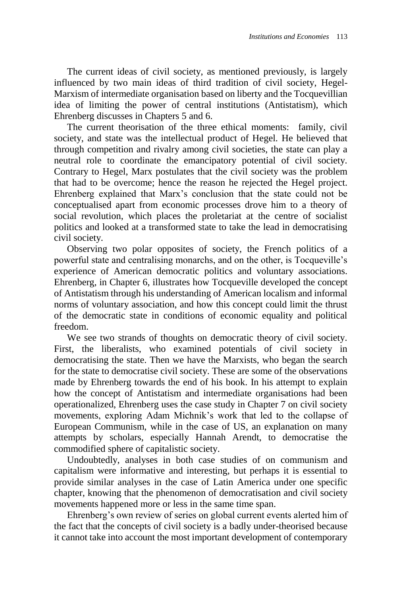The current ideas of civil society, as mentioned previously, is largely influenced by two main ideas of third tradition of civil society, Hegel-Marxism of intermediate organisation based on liberty and the Tocquevillian idea of limiting the power of central institutions (Antistatism), which Ehrenberg discusses in Chapters 5 and 6.

The current theorisation of the three ethical moments: family, civil society, and state was the intellectual product of Hegel. He believed that through competition and rivalry among civil societies, the state can play a neutral role to coordinate the emancipatory potential of civil society. Contrary to Hegel, Marx postulates that the civil society was the problem that had to be overcome; hence the reason he rejected the Hegel project. Ehrenberg explained that Marx's conclusion that the state could not be conceptualised apart from economic processes drove him to a theory of social revolution, which places the proletariat at the centre of socialist politics and looked at a transformed state to take the lead in democratising civil society.

Observing two polar opposites of society, the French politics of a powerful state and centralising monarchs, and on the other, is Tocqueville's experience of American democratic politics and voluntary associations. Ehrenberg, in Chapter 6, illustrates how Tocqueville developed the concept of Antistatism through his understanding of American localism and informal norms of voluntary association, and how this concept could limit the thrust of the democratic state in conditions of economic equality and political freedom.

We see two strands of thoughts on democratic theory of civil society. First, the liberalists, who examined potentials of civil society in democratising the state. Then we have the Marxists, who began the search for the state to democratise civil society. These are some of the observations made by Ehrenberg towards the end of his book. In his attempt to explain how the concept of Antistatism and intermediate organisations had been operationalized, Ehrenberg uses the case study in Chapter 7 on civil society movements, exploring Adam Michnik's work that led to the collapse of European Communism, while in the case of US, an explanation on many attempts by scholars, especially Hannah Arendt, to democratise the commodified sphere of capitalistic society.

Undoubtedly, analyses in both case studies of on communism and capitalism were informative and interesting, but perhaps it is essential to provide similar analyses in the case of Latin America under one specific chapter, knowing that the phenomenon of democratisation and civil society movements happened more or less in the same time span.

Ehrenberg's own review of series on global current events alerted him of the fact that the concepts of civil society is a badly under-theorised because it cannot take into account the most important development of contemporary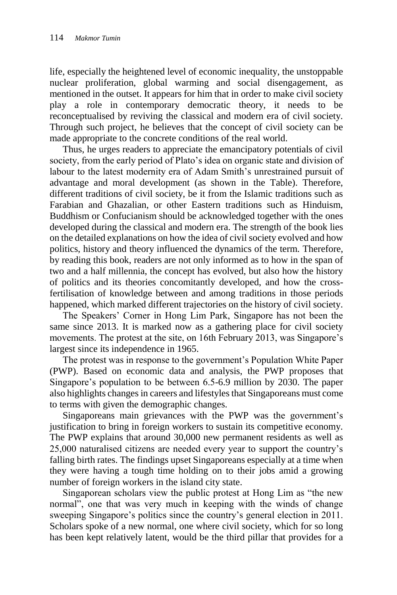life, especially the heightened level of economic inequality, the unstoppable nuclear proliferation, global warming and social disengagement, as mentioned in the outset. It appears for him that in order to make civil society play a role in contemporary democratic theory, it needs to be reconceptualised by reviving the classical and modern era of civil society. Through such project, he believes that the concept of civil society can be made appropriate to the concrete conditions of the real world.

Thus, he urges readers to appreciate the emancipatory potentials of civil society, from the early period of Plato's idea on organic state and division of labour to the latest modernity era of Adam Smith's unrestrained pursuit of advantage and moral development (as shown in the Table). Therefore, different traditions of civil society, be it from the Islamic traditions such as Farabian and Ghazalian, or other Eastern traditions such as Hinduism, Buddhism or Confucianism should be acknowledged together with the ones developed during the classical and modern era. The strength of the book lies on the detailed explanations on how the idea of civil society evolved and how politics, history and theory influenced the dynamics of the term. Therefore, by reading this book, readers are not only informed as to how in the span of two and a half millennia, the concept has evolved, but also how the history of politics and its theories concomitantly developed, and how the crossfertilisation of knowledge between and among traditions in those periods happened, which marked different trajectories on the history of civil society.

The Speakers' Corner in Hong Lim Park, Singapore has not been the same since 2013. It is marked now as a gathering place for civil society movements. The protest at the site, on 16th February 2013, was Singapore's largest since its independence in 1965.

The protest was in response to the government's Population White Paper (PWP). Based on economic data and analysis, the PWP proposes that Singapore's population to be between 6.5-6.9 million by 2030. The paper also highlights changes in careers and lifestyles that Singaporeans must come to terms with given the demographic changes.

Singaporeans main grievances with the PWP was the government's justification to bring in foreign workers to sustain its competitive economy. The PWP explains that around 30,000 new permanent residents as well as 25,000 naturalised citizens are needed every year to support the country's falling birth rates. The findings upset Singaporeans especially at a time when they were having a tough time holding on to their jobs amid a growing number of foreign workers in the island city state.

Singaporean scholars view the public protest at Hong Lim as "the new normal", one that was very much in keeping with the winds of change sweeping Singapore's politics since the country's general election in 2011. Scholars spoke of a new normal, one where civil society, which for so long has been kept relatively latent, would be the third pillar that provides for a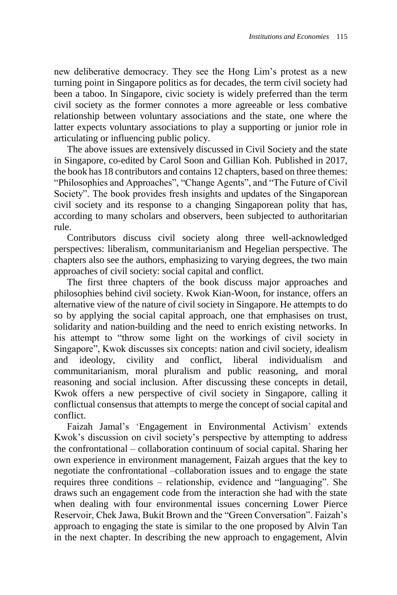new deliberative democracy. They see the Hong Lim's protest as a new turning point in Singapore politics as for decades, the term civil society had been a taboo. In Singapore, civic society is widely preferred than the term civil society as the former connotes a more agreeable or less combative relationship between voluntary associations and the state, one where the latter expects voluntary associations to play a supporting or junior role in articulating or influencing public policy.

The above issues are extensively discussed in Civil Society and the state in Singapore, co-edited by Carol Soon and Gillian Koh. Published in 2017, the book has 18 contributors and contains 12 chapters, based on three themes: "Philosophies and Approaches", "Change Agents", and "The Future of Civil Society". The book provides fresh insights and updates of the Singaporean civil society and its response to a changing Singaporean polity that has, according to many scholars and observers, been subjected to authoritarian rule.

Contributors discuss civil society along three well-acknowledged perspectives: liberalism, communitarianism and Hegelian perspective. The chapters also see the authors, emphasizing to varying degrees, the two main approaches of civil society: social capital and conflict.

The first three chapters of the book discuss major approaches and philosophies behind civil society. Kwok Kian-Woon, for instance, offers an alternative view of the nature of civil society in Singapore. He attempts to do so by applying the social capital approach, one that emphasises on trust, solidarity and nation-building and the need to enrich existing networks. In his attempt to "throw some light on the workings of civil society in Singapore", Kwok discusses six concepts: nation and civil society, idealism and ideology, civility and conflict, liberal individualism and communitarianism, moral pluralism and public reasoning, and moral reasoning and social inclusion. After discussing these concepts in detail, Kwok offers a new perspective of civil society in Singapore, calling it conflictual consensus that attempts to merge the concept of social capital and conflict.

Faizah Jamal's 'Engagement in Environmental Activism' extends Kwok's discussion on civil society's perspective by attempting to address the confrontational – collaboration continuum of social capital. Sharing her own experience in environment management, Faizah argues that the key to negotiate the confrontational –collaboration issues and to engage the state requires three conditions – relationship, evidence and "languaging". She draws such an engagement code from the interaction she had with the state when dealing with four environmental issues concerning Lower Pierce Reservoir, Chek Jawa, Bukit Brown and the "Green Conversation". Faizah's approach to engaging the state is similar to the one proposed by Alvin Tan in the next chapter. In describing the new approach to engagement, Alvin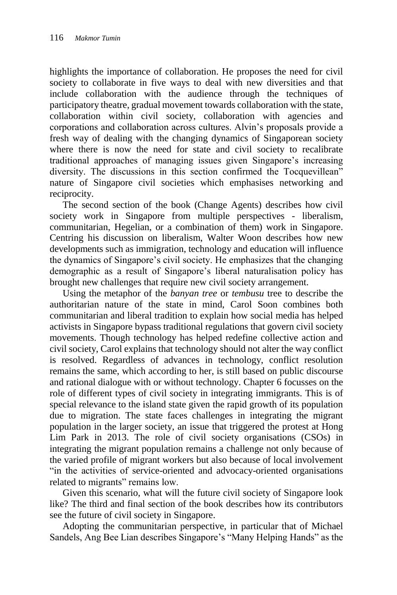highlights the importance of collaboration. He proposes the need for civil society to collaborate in five ways to deal with new diversities and that include collaboration with the audience through the techniques of participatory theatre, gradual movement towards collaboration with the state, collaboration within civil society, collaboration with agencies and corporations and collaboration across cultures. Alvin's proposals provide a fresh way of dealing with the changing dynamics of Singaporean society where there is now the need for state and civil society to recalibrate traditional approaches of managing issues given Singapore's increasing diversity. The discussions in this section confirmed the Tocquevillean" nature of Singapore civil societies which emphasises networking and reciprocity.

The second section of the book (Change Agents) describes how civil society work in Singapore from multiple perspectives - liberalism, communitarian, Hegelian, or a combination of them) work in Singapore. Centring his discussion on liberalism, Walter Woon describes how new developments such as immigration, technology and education will influence the dynamics of Singapore's civil society. He emphasizes that the changing demographic as a result of Singapore's liberal naturalisation policy has brought new challenges that require new civil society arrangement.

Using the metaphor of the *banyan tree* or *tembusu* tree to describe the authoritarian nature of the state in mind, Carol Soon combines both communitarian and liberal tradition to explain how social media has helped activists in Singapore bypass traditional regulations that govern civil society movements. Though technology has helped redefine collective action and civil society, Carol explains that technology should not alter the way conflict is resolved. Regardless of advances in technology, conflict resolution remains the same, which according to her, is still based on public discourse and rational dialogue with or without technology. Chapter 6 focusses on the role of different types of civil society in integrating immigrants. This is of special relevance to the island state given the rapid growth of its population due to migration. The state faces challenges in integrating the migrant population in the larger society, an issue that triggered the protest at Hong Lim Park in 2013. The role of civil society organisations (CSOs) in integrating the migrant population remains a challenge not only because of the varied profile of migrant workers but also because of local involvement "in the activities of service-oriented and advocacy-oriented organisations related to migrants" remains low.

Given this scenario, what will the future civil society of Singapore look like? The third and final section of the book describes how its contributors see the future of civil society in Singapore.

Adopting the communitarian perspective, in particular that of Michael Sandels, Ang Bee Lian describes Singapore's "Many Helping Hands" as the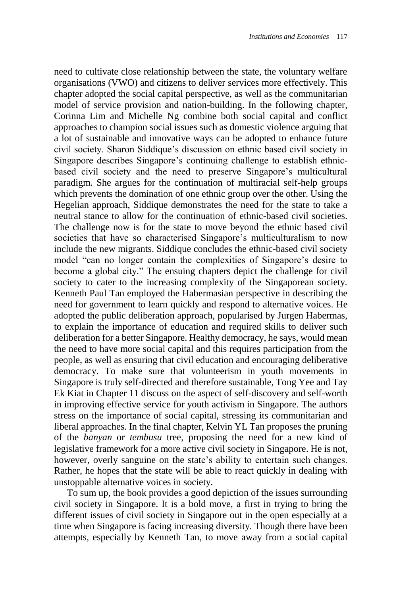need to cultivate close relationship between the state, the voluntary welfare organisations (VWO) and citizens to deliver services more effectively. This chapter adopted the social capital perspective, as well as the communitarian model of service provision and nation-building. In the following chapter, Corinna Lim and Michelle Ng combine both social capital and conflict approaches to champion social issues such as domestic violence arguing that a lot of sustainable and innovative ways can be adopted to enhance future civil society. Sharon Siddique's discussion on ethnic based civil society in Singapore describes Singapore's continuing challenge to establish ethnicbased civil society and the need to preserve Singapore's multicultural paradigm. She argues for the continuation of multiracial self-help groups which prevents the domination of one ethnic group over the other. Using the Hegelian approach, Siddique demonstrates the need for the state to take a neutral stance to allow for the continuation of ethnic-based civil societies. The challenge now is for the state to move beyond the ethnic based civil societies that have so characterised Singapore's multiculturalism to now include the new migrants. Siddique concludes the ethnic-based civil society model "can no longer contain the complexities of Singapore's desire to become a global city." The ensuing chapters depict the challenge for civil society to cater to the increasing complexity of the Singaporean society. Kenneth Paul Tan employed the Habermasian perspective in describing the need for government to learn quickly and respond to alternative voices. He adopted the public deliberation approach, popularised by Jurgen Habermas, to explain the importance of education and required skills to deliver such deliberation for a better Singapore. Healthy democracy, he says, would mean the need to have more social capital and this requires participation from the people, as well as ensuring that civil education and encouraging deliberative democracy. To make sure that volunteerism in youth movements in Singapore is truly self-directed and therefore sustainable, Tong Yee and Tay Ek Kiat in Chapter 11 discuss on the aspect of self-discovery and self-worth in improving effective service for youth activism in Singapore. The authors stress on the importance of social capital, stressing its communitarian and liberal approaches. In the final chapter, Kelvin YL Tan proposes the pruning of the *banyan* or *tembusu* tree, proposing the need for a new kind of legislative framework for a more active civil society in Singapore. He is not, however, overly sanguine on the state's ability to entertain such changes. Rather, he hopes that the state will be able to react quickly in dealing with unstoppable alternative voices in society.

To sum up, the book provides a good depiction of the issues surrounding civil society in Singapore. It is a bold move, a first in trying to bring the different issues of civil society in Singapore out in the open especially at a time when Singapore is facing increasing diversity. Though there have been attempts, especially by Kenneth Tan, to move away from a social capital